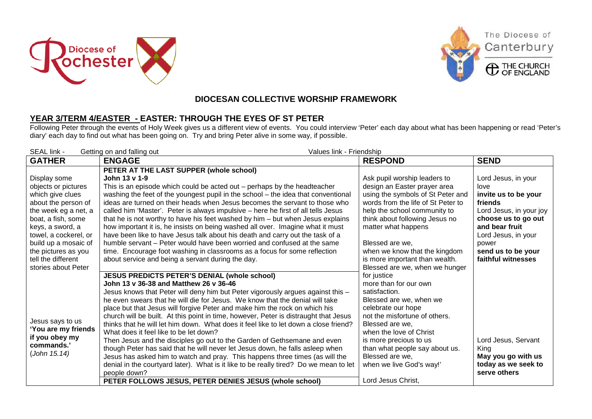





The Diocese of

Canterbury

## **DIOCESAN COLLECTIVE WORSHIP FRAMEWORK**

## **YEAR 3/TERM 4/EASTER - EASTER: THROUGH THE EYES OF ST PETER**

Following Peter through the events of Holy Week gives us a different view of events. You could interview 'Peter' each day about what has been happening or read 'Peter's diary' each day to find out what has been going on. Try and bring Peter alive in some way, if possible.

| SEAL link -<br>Getting on and falling out<br>Values link - Friendship                   |                                                                                       |                                    |                         |
|-----------------------------------------------------------------------------------------|---------------------------------------------------------------------------------------|------------------------------------|-------------------------|
| <b>GATHER</b>                                                                           | <b>ENGAGE</b>                                                                         | <b>RESPOND</b>                     | <b>SEND</b>             |
|                                                                                         | PETER AT THE LAST SUPPER (whole school)                                               |                                    |                         |
| Display some                                                                            | John 13 v 1-9                                                                         | Ask pupil worship leaders to       | Lord Jesus, in your     |
| objects or pictures                                                                     | This is an episode which could be acted out $-$ perhaps by the headteacher            | design an Easter prayer area       | love                    |
| which give clues                                                                        | washing the feet of the youngest pupil in the school - the idea that conventional     | using the symbols of St Peter and  | invite us to be your    |
| about the person of                                                                     | ideas are turned on their heads when Jesus becomes the servant to those who           | words from the life of St Peter to | friends                 |
| the week eg a net, a                                                                    | called him 'Master'. Peter is always impulsive - here he first of all tells Jesus     | help the school community to       | Lord Jesus, in your joy |
| boat, a fish, some                                                                      | that he is not worthy to have his feet washed by him - but when Jesus explains        | think about following Jesus no     | choose us to go out     |
| keys, a sword, a                                                                        | how important it is, he insists on being washed all over. Imagine what it must        | matter what happens                | and bear fruit          |
| towel, a cockerel, or                                                                   | have been like to have Jesus talk about his death and carry out the task of a         |                                    | Lord Jesus, in your     |
| build up a mosaic of                                                                    | humble servant – Peter would have been worried and confused at the same               | Blessed are we.                    | power                   |
| the pictures as you                                                                     | time. Encourage foot washing in classrooms as a focus for some reflection             | when we know that the kingdom      | send us to be your      |
| tell the different                                                                      | about service and being a servant during the day.                                     | is more important than wealth.     | faithful witnesses      |
| stories about Peter                                                                     |                                                                                       | Blessed are we, when we hunger     |                         |
|                                                                                         | <b>JESUS PREDICTS PETER'S DENIAL (whole school)</b>                                   | for justice                        |                         |
| Jesus says to us<br>'You are my friends<br>if you obey my<br>commands.'<br>(John 15.14) | John 13 v 36-38 and Matthew 26 v 36-46                                                | more than for our own              |                         |
|                                                                                         | Jesus knows that Peter will deny him but Peter vigorously argues against this -       | satisfaction.                      |                         |
|                                                                                         | he even swears that he will die for Jesus. We know that the denial will take          | Blessed are we, when we            |                         |
|                                                                                         | place but that Jesus will forgive Peter and make him the rock on which his            | celebrate our hope                 |                         |
|                                                                                         | church will be built. At this point in time, however, Peter is distraught that Jesus  | not the misfortune of others.      |                         |
|                                                                                         | thinks that he will let him down. What does it feel like to let down a close friend?  | Blessed are we,                    |                         |
|                                                                                         | What does it feel like to be let down?                                                | when the love of Christ            |                         |
|                                                                                         | Then Jesus and the disciples go out to the Garden of Gethsemane and even              | is more precious to us             | Lord Jesus, Servant     |
|                                                                                         | though Peter has said that he will never let Jesus down, he falls asleep when         | than what people say about us.     | King                    |
|                                                                                         | Jesus has asked him to watch and pray. This happens three times (as will the          | Blessed are we,                    | May you go with us      |
|                                                                                         | denial in the courtyard later). What is it like to be really tired? Do we mean to let | when we live God's way!'           | today as we seek to     |
|                                                                                         | people down?                                                                          |                                    | serve others            |
|                                                                                         | PETER FOLLOWS JESUS, PETER DENIES JESUS (whole school)                                | Lord Jesus Christ,                 |                         |